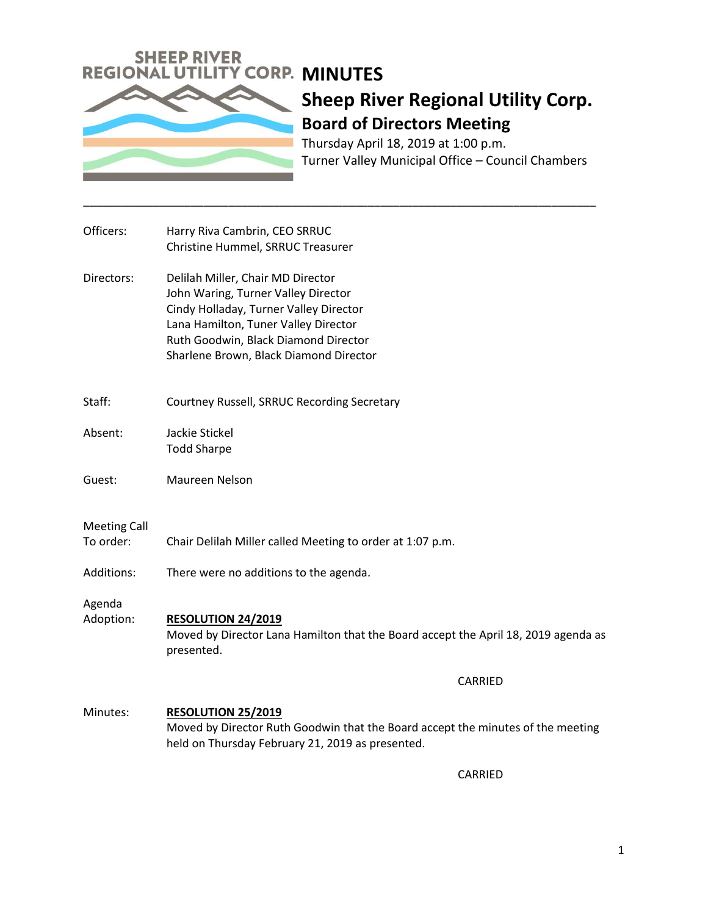

# **Sheep River Regional Utility Corp. Board of Directors Meeting**

Thursday April 18, 2019 at 1:00 p.m. Turner Valley Municipal Office – Council Chambers

| Officers:  | Harry Riva Cambrin, CEO SRRUC<br>Christine Hummel, SRRUC Treasurer                                                                                                                                                                           |
|------------|----------------------------------------------------------------------------------------------------------------------------------------------------------------------------------------------------------------------------------------------|
| Directors: | Delilah Miller, Chair MD Director<br>John Waring, Turner Valley Director<br>Cindy Holladay, Turner Valley Director<br>Lana Hamilton, Tuner Valley Director<br>Ruth Goodwin, Black Diamond Director<br>Sharlene Brown, Black Diamond Director |
|            |                                                                                                                                                                                                                                              |

- Staff: Courtney Russell, SRRUC Recording Secretary
- Absent: Jackie Stickel Todd Sharpe
- Guest: Maureen Nelson

#### Meeting Call

- To order: Chair Delilah Miller called Meeting to order at 1:07 p.m.
- Additions: There were no additions to the agenda.

Agenda

Adoption: **RESOLUTION 24/2019** Moved by Director Lana Hamilton that the Board accept the April 18, 2019 agenda as presented.

\_\_\_\_\_\_\_\_\_\_\_\_\_\_\_\_\_\_\_\_\_\_\_\_\_\_\_\_\_\_\_\_\_\_\_\_\_\_\_\_\_\_\_\_\_\_\_\_\_\_\_\_\_\_\_\_\_\_\_\_\_\_\_\_\_\_\_\_\_\_\_\_\_\_\_\_\_\_\_\_\_

CARRIED

Minutes: **RESOLUTION 25/2019** Moved by Director Ruth Goodwin that the Board accept the minutes of the meeting held on Thursday February 21, 2019 as presented.

CARRIED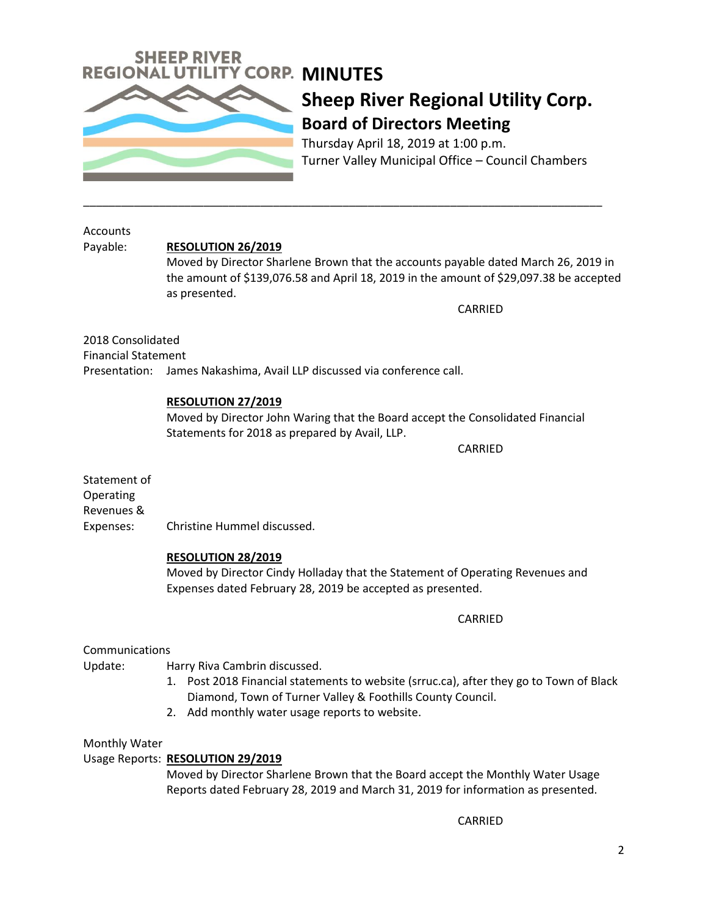

### **Sheep River Regional Utility Corp. Board of Directors Meeting**

Thursday April 18, 2019 at 1:00 p.m. Turner Valley Municipal Office – Council Chambers

Accounts

### Payable: **RESOLUTION 26/2019**

Moved by Director Sharlene Brown that the accounts payable dated March 26, 2019 in the amount of \$139,076.58 and April 18, 2019 in the amount of \$29,097.38 be accepted as presented.

\_\_\_\_\_\_\_\_\_\_\_\_\_\_\_\_\_\_\_\_\_\_\_\_\_\_\_\_\_\_\_\_\_\_\_\_\_\_\_\_\_\_\_\_\_\_\_\_\_\_\_\_\_\_\_\_\_\_\_\_\_\_\_\_\_\_\_\_\_\_\_\_\_\_\_\_\_\_\_\_\_\_

CARRIED

2018 Consolidated Financial Statement Presentation: James Nakashima, Avail LLP discussed via conference call.

#### **RESOLUTION 27/2019**

Moved by Director John Waring that the Board accept the Consolidated Financial Statements for 2018 as prepared by Avail, LLP.

CARRIED

Statement of Operating Revenues & Expenses: Christine Hummel discussed.

### **RESOLUTION 28/2019**

Moved by Director Cindy Holladay that the Statement of Operating Revenues and Expenses dated February 28, 2019 be accepted as presented.

CARRIED

### **Communications**

Update: Harry Riva Cambrin discussed.

- 1. Post 2018 Financial statements to website (srruc.ca), after they go to Town of Black Diamond, Town of Turner Valley & Foothills County Council.
- 2. Add monthly water usage reports to website.

### Monthly Water

### Usage Reports: **RESOLUTION 29/2019**

Moved by Director Sharlene Brown that the Board accept the Monthly Water Usage Reports dated February 28, 2019 and March 31, 2019 for information as presented.

CARRIED